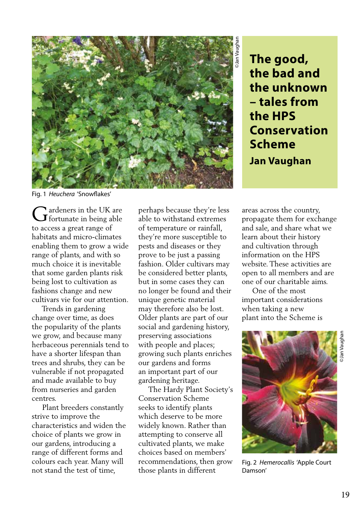

**the bad and the unknown – tales from the HPS Conservation Scheme Jan Vaughan**

Fig. 1 *Heuchera* 'Snowflakes'

ardeners in the UK are  $\begin{array}{c} \bigcap \text{ardeners in the UK are} \\ \text{fortunate in being able} \end{array}$ to access a great range of habitats and micro-climates enabling them to grow a wide range of plants, and with so much choice it is inevitable that some garden plants risk being lost to cultivation as fashions change and new cultivars vie for our attention.

 Trends in gardening change over time, as does the popularity of the plants we grow, and because many herbaceous perennials tend to have a shorter lifespan than trees and shrubs, they can be vulnerable if not propagated and made available to buy from nurseries and garden centres.

 Plant breeders constantly strive to improve the characteristics and widen the choice of plants we grow in our gardens, introducing a range of different forms and colours each year. Many will not stand the test of time,

perhaps because they're less able to withstand extremes of temperature or rainfall, they're more susceptible to pests and diseases or they prove to be just a passing fashion. Older cultivars may be considered better plants, but in some cases they can no longer be found and their unique genetic material may therefore also be lost. Older plants are part of our social and gardening history, preserving associations with people and places; growing such plants enriches our gardens and forms an important part of our gardening heritage.

 The Hardy Plant Society's Conservation Scheme seeks to identify plants which deserve to be more widely known. Rather than attempting to conserve all cultivated plants, we make choices based on members' recommendations, then grow those plants in different

areas across the country, propagate them for exchange and sale, and share what we learn about their history and cultivation through information on the HPS website. These activities are open to all members and are one of our charitable aims.

 One of the most important considerations when taking a new plant into the Scheme is



Fig. 2 *Hemerocallis* 'Apple Court Damson'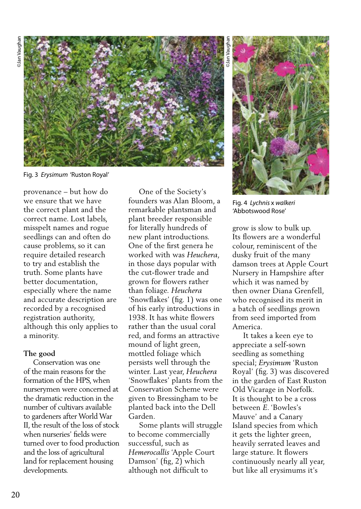

Fig. 3 *Erysimum* 'Ruston Royal'

provenance – but how do we ensure that we have the correct plant and the correct name. Lost labels, misspelt names and rogue seedlings can and often do cause problems, so it can require detailed research to try and establish the truth. Some plants have better documentation, especially where the name and accurate description are recorded by a recognised registration authority, although this only applies to a minority.

## **The good**

 Conservation was one of the main reasons for the formation of the HPS, when nurserymen were concerned at the dramatic reduction in the number of cultivars available to gardeners after World War II, the result of the loss of stock when nurseries' fields were turned over to food production and the loss of agricultural land for replacement housing developments.

 One of the Society's founders was Alan Bloom, a remarkable plantsman and plant breeder responsible for literally hundreds of new plant introductions. One of the first genera he worked with was *Heuchera*, in those days popular with the cut-flower trade and grown for flowers rather than foliage. *Heuchera* 'Snowflakes' (fig. 1) was one of his early introductions in 1938. It has white flowers rather than the usual coral red, and forms an attractive mound of light green, mottled foliage which persists well through the winter. Last year, *Heuchera* 'Snowflakes' plants from the Conservation Scheme were given to Bressingham to be planted back into the Dell Garden.

 Some plants will struggle to become commercially successful, such as *Hemerocallis* 'Apple Court Damson' (fig, 2) which although not difficult to

©Jan Vaughan



Fig. 4 *Lychnis* x *walkeri*  'Abbotswood Rose'

grow is slow to bulk up. Its flowers are a wonderful colour, reminiscent of the dusky fruit of the many damson trees at Apple Court Nursery in Hampshire after which it was named by then owner Diana Grenfell, who recognised its merit in a batch of seedlings grown from seed imported from America.

 It takes a keen eye to appreciate a self-sown seedling as something special; *Erysimum* 'Ruston Royal' (fig. 3) was discovered in the garden of East Ruston Old Vicarage in Norfolk. It is thought to be a cross between *E*. 'Bowles's Mauve' and a Canary Island species from which it gets the lighter green, heavily serrated leaves and large stature. It flowers continuously nearly all year, but like all erysimums it's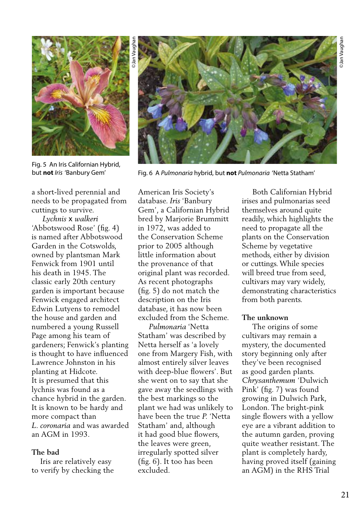

Fig. 5 An Iris Californian Hybrid, but **not** *Iris* 'Banbury Gem'

a short-lived perennial and needs to be propagated from cuttings to survive.

 *Lychnis* x *walkeri*  'Abbotswood Rose' (fig. 4) is named after Abbotswood Garden in the Cotswolds, owned by plantsman Mark Fenwick from 1901 until his death in 1945. The classic early 20th century garden is important because Fenwick engaged architect Edwin Lutyens to remodel the house and garden and numbered a young Russell Page among his team of gardeners; Fenwick's planting is thought to have influenced Lawrence Johnston in his planting at Hidcote. It is presumed that this lychnis was found as a chance hybrid in the garden. It is known to be hardy and more compact than *L. coronaria* and was awarded an AGM in 1993.

## **The bad**

 Iris are relatively easy to verify by checking the American Iris Society's database. *Iris* 'Banbury Gem', a Californian Hybrid bred by Marjorie Brummitt in 1972, was added to the Conservation Scheme prior to 2005 although little information about the provenance of that original plant was recorded. As recent photographs (fig. 5) do not match the description on the Iris database, it has now been excluded from the Scheme.

 *Pulmonaria* 'Netta Statham' was described by Netta herself as 'a lovely one from Margery Fish, with almost entirely silver leaves with deep-blue flowers'. But she went on to say that she gave away the seedlings with the best markings so the plant we had was unlikely to have been the true *P.* 'Netta Statham' and, although it had good blue flowers, the leaves were green, irregularly spotted silver (fig. 6). It too has been excluded.

 Both Californian Hybrid irises and pulmonarias seed themselves around quite readily, which highlights the need to propagate all the plants on the Conservation Scheme by vegetative methods, either by division or cuttings. While species will breed true from seed, cultivars may vary widely, demonstrating characteristics from both parents.

## **The unknown**

 The origins of some cultivars may remain a mystery, the documented story beginning only after they've been recognised as good garden plants. *Chrysanthemum* 'Dulwich Pink' (fig. 7) was found growing in Dulwich Park, London. The bright-pink single flowers with a yellow eye are a vibrant addition to the autumn garden, proving quite weather resistant. The plant is completely hardy, having proved itself (gaining an AGM) in the RHS Trial



Fig. 6 A *Pulmonaria* hybrid, but **not** *Pulmonaria* 'Netta Statham'